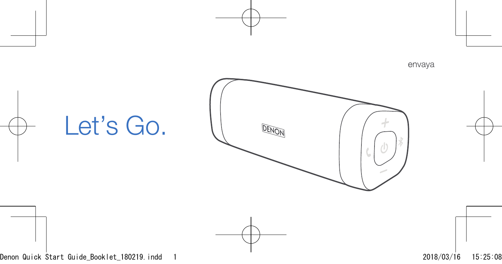# Let's Go.

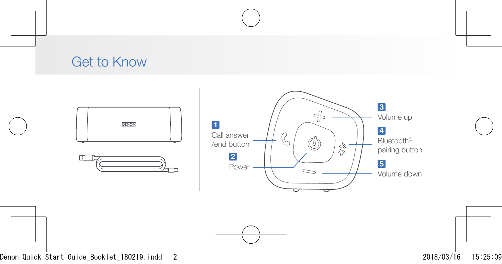### Get to Know





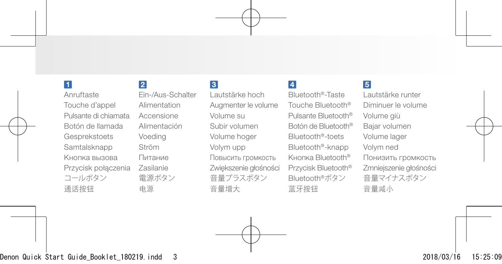#### H.

Anruftaste Touche d'appel Pulsante di chiamata Botón de llamada Gesprekstoets Samtalsknapp Кнопка вызовa Przycisk połączenia コールボタン 通话按钮

#### $\overline{2}$

Ein-/Aus-Schalter Alimentation Accensione Alimentación Voeding Ström Питаниe Zasilanie 電源ボタン 电源

#### $\overline{3}$

Lautstärke hoch Augmenter le volume Volume su Subir volumen Volume hoger Volym upp Повысить громкость Zwiększenie głośności 音量プラスボタン 音量增大

#### $\overline{4}$

Bluetooth®-Taste Touche Bluetooth® Pulsante Bluetooth® Botón de Bluetooth® Bluetooth®-toets Bluetooth®-knapp Кнопка Bluetooth® Przycisk Bluetooth® Bluetooth®ボタン 蓝牙按钮

#### 5

Lautstärke runter Diminuer le volume Volume giù Bajar volumen Volume lager Volym ned Понизить громкость Zmniejszenie głośności 音量マイナスボタン 音量减小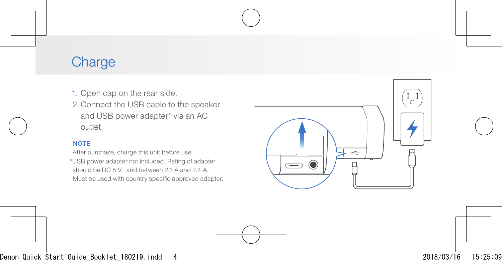### **Charge**

- 1. Open cap on the rear side.
- 2. Connect the USB cable to the speaker and USB power adapter\* via an AC outlet.

#### **NOTE**

After purchase, charge this unit before use. \*USB power adapter not included. Rating of adapter should be DC 5 V, and between 2.1 A and 2.4 A. Must be used with country specific approved adapter.

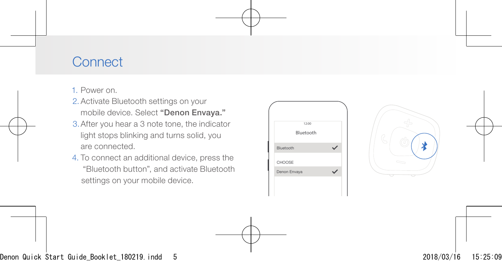### **Connect**

1. Power on.

- 2. Activate Bluetooth settings on your mobile device. Select "Denon Envaya."
- 3.After you hear a 3 note tone, the indicator light stops blinking and turns solid, you are connected.
- 4. To connect an additional device, press the "Bluetooth button", and activate Bluetooth settings on your mobile device.



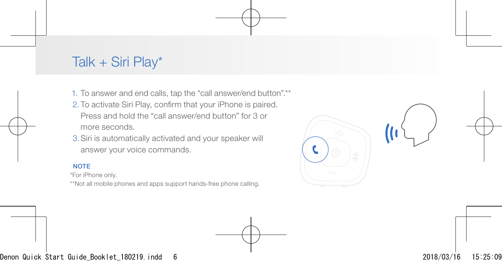### Talk + Siri Play\*

1. To answer and end calls, tap the "call answer/end button".\*\*

- 2. To activate Siri Play, confirm that your iPhone is paired. Press and hold the "call answer/end button" for 3 or more seconds.
- 3.Siri is automatically activated and your speaker will answer your voice commands.

#### **NOTE**

\*For iPhone only.

\*\*Not all mobile phones and apps support hands-free phone calling.

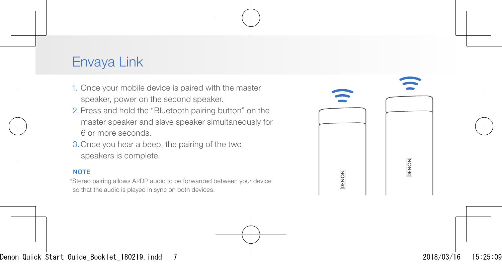### Envaya Link

- 1. Once your mobile device is paired with the master speaker, power on the second speaker.
- 2. Press and hold the "Bluetooth pairing button" on the master speaker and slave speaker simultaneously for 6 or more seconds.
- 3.Once you hear a beep, the pairing of the two speakers is complete.

#### **NOTE**

\*Stereo pairing allows A2DP audio to be forwarded between your device so that the audio is played in sync on both devices.